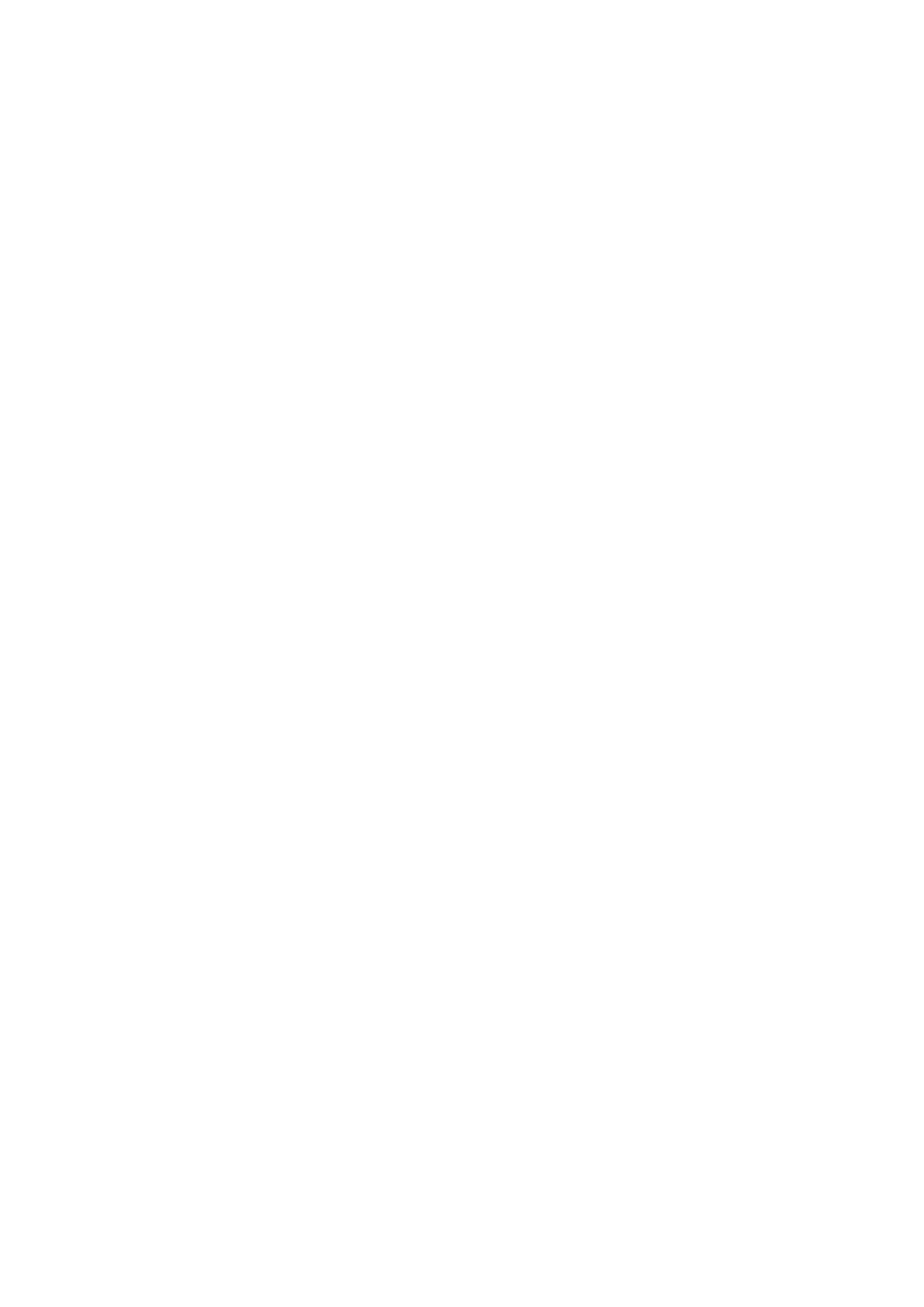

# **Diffusion Coefficient and Solvation Free energy of Sucrose in Water: A Molecular Dynamics Study**

**D. Sapkota<sup>1</sup> and N. P. Adhikari2, \***

<sup>1</sup>Golden Gate International College, Kathmandu, Nepal <sup>2</sup>Central Department of Physics, Kathmandu, Nepal \*Corresponding Email: narayan.adhikari@cdp.tu.edu.np

*Received: 12th November, 2021; Revised: 5th December, 2021; Accepted: 25th December, 2021*

## **ABSTRACT**

In this work, we have carried out Molecular Dynamics Simulation technique to study the diffusion coefficients, radial distribution functions and solvation free energy of sucrose  $(C_{12}H_{22}O_{11})$  at different temperatures ranging from 298.15 K to 318.15 K. We have taken 2 molecules of sucrose in 1343 molecules of extended simple point charge (SPC/E) water model. The self-diffusion coefficients are obtained by applying linear best fit to the mean square displacement (MSD) plot and binary diffusion coefficients are obtained by using Darken's relation. Arrhenius equation has been used to show a linear relationship between natural logarithm of binary diffusion coefficient and reciprocal of temperature. The structural analysis of the solution has been carried out with the help of radial distribution functions (RDFs) of its constituents. The solvation free energy of sucrose is studied at 300 K by using free energy perturbation method like Bennett Acceptance Ratio (BAR). The results of binary diffusion coefficients obtained from this simulation work agree very well with the previously reported experimental data.

**Keywords**: Sucrose; Molecular Dynamics; Diffusion Coefficient; RDF; Solvation Free Energy.

# **1. INTRODUCTION**

The most abundant biomolecules on earth are carbohydrates which yield polyhydroxy aldehyde or ketone on hydrolysis. Three major types of carbohydrates: monosaccharides, oligosaccharides, and polysaccharides can be found in nature [1]. Sucrose, commonly known as sugar, is an example of oligosaccharide which is composed of α-D glucose and β-D fructose residues. These residues are joined by an  $\alpha$ , β-glycosidic bond as shown in figure (1). The IUPAC name of sucrose is  $\alpha$ -D glucopyranosyl β-D- fructofuranoside and has molar mass 342.3 g/mol [2]. It is highly soluble in water due to its eight hydroxyl groups which can form hydrogen bonds. Another significant and distinguishable property is sweetness. Its sweetness intensity is highest at  $\sim$ 32.38 $^{\circ}$  C [3]. It reported to have world's highest production of any single, pure, natural, organic chemical [4]. During digestive process, sucrose is released into glucose and fructose, which reach the liver via the portal vein, and they go into blood stream in the form of glucose. It has been observed that consumption of sucrose improves mental alertness, memory, reaction time, attention, ability to solve mathematical problems, and reduction in the feeling of fatigue [5]. However, some recent reports have also suggested that increased intake of sugar has adverse effects on cardiovascular health, increases blood pressure and can put life in risk [6]. Therefore, sucrose is the most important carbohydrates found in nature and thus, study of its transport properties has become an essential work for many researchers. The transport phenomena include fluid transport, heat transfer, and mass transfer. The mass transfer is the case of diffusion. Diffusion is the process by which mass is transferred from one part of a system to another as a result of random molecular motions [7]. The study of diffusion coefficient of sucrose is important both in nature and in technological applications. During metabolism of organisms, as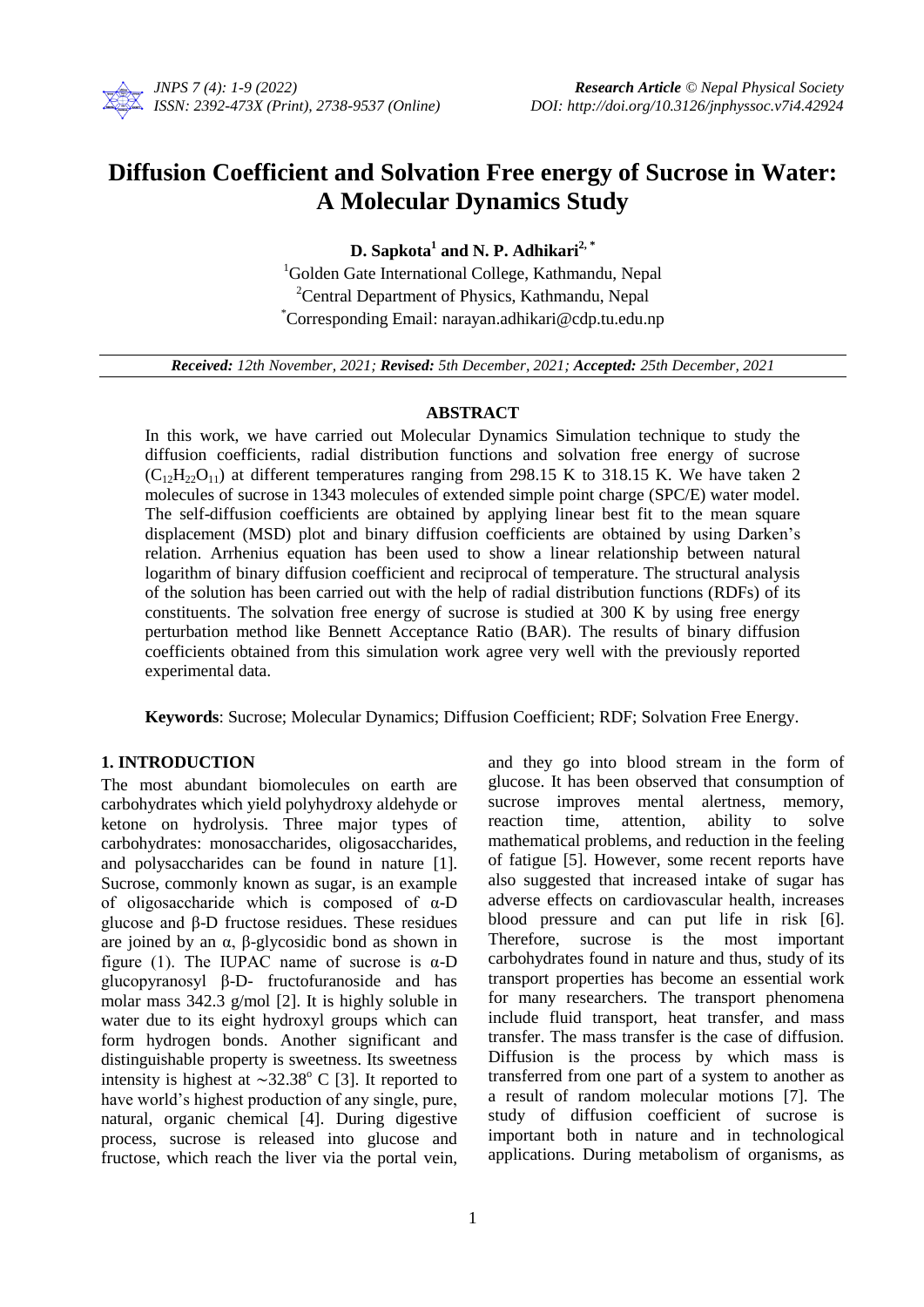energy source and structural agents, sucrose plays an important role and can protect from freezing or dehydration in extreme environmental conditions. Sucrose also has some important

technological applications in food preservation and in the cryopreservation of proteins [8]. In theoretical aspects of physics, the diffusion coefficient of sucrose in water can be used to estimate the various parameters such as the hydrodynamic radii and activation energy for the diffusion of aqueous sucrose. In addition, the measured diffusion coefficients can also be used to estimate activity coefficients [9]. Diffusion describes the dissolution and solubility phenomena, which are fundamental terms describing the process of solvation. They are related by the Noyes-Whitney equation [10].



Fig.1: Three-dimensional structure of Sucrose.

Solvation is the phenomenon of transferring a solute from an ideal gas state into a liquid solution. The free energy change associated with this phenomenon is solvation free energy [11]. Finding free energy change of a physical system has a great interest in many fields, from drug design to basic statistics, to even non perturbative quantum chromodynamics [12]. To carry out computation of diffusion coefficient and solvation free energy of sucrose in water, Groningen Machine for Chemical Simulation (GROMACS) package is found to be very useful as it is user friendly and convenient to use with minimum expenditure of time. The scope of GROMACS is not only limited to calculation of diffusion coefficient or solvation free energy, but it can also calculate other physical macroscopic properties of a system like viscosity, thermal conductivity, electrical conductivity, radial distribution function, and activation energy [13].

#### **A. Diffusion Coefficient**

The macroscopic law that describes diffusion is known as Fick's law, which states that the flux  $j$ (rate of transfer per unit area) of the diffusing species is proportional to the negative gradient in the concentration of that species [14]:

$$
\boldsymbol{j} = -D\nabla c(\boldsymbol{r},t)
$$

where  $D$ , the constant of proportionality, is referred to as the diffusion coefficient (or self-diffusion coefficient) and  $c(r, t)$  is the concentration of the diffusing species at position  $r$  and time t. The negative sign indicates that the diffusion occurs in the direction opposite to that of increasing concentration. The famous Einstein's equation for self-diffusion coefficient is [15]

$$
D = \lim_{t \to \infty} \frac{1}{6} \frac{\partial < r^2 >}{\partial t^2}
$$

 $\langle r^2 \rangle$  is the mean-squared displacement of the diffusing particle.

The binary diffusion coefficient between two diffusing particles in a binary mixture is given by Darken's relation [16]

$$
D_{12} = N_1 D_2 + N_2 D_1
$$

 $N_1, N_2$  are the mole fractions and  $D_1, D_2$  are the self-diffusion coefficients of the mixing particles 1 and 2 in the mixture respectively.

## **B. Solvation free energy**

We couple our solute molecule into the solvent through different intermediate states using coupling parameter  $\lambda$ . Taking enough intermediate states between initial  $(\lambda = 0)$ ; solute in gaseous state) and final  $(\lambda = 1)$ ; solute completely merged into solvent) states would give a useable value of free energy change since they have sufficient overlapping of phase space integrals  $[17]$ . For N intermediate states, the free energy change  $(\Delta G_{ij})$  is computed by using the exponential average of the difference in the potential energies  $(\Delta U_{ii})$  between two consecutive states  $i$  and  $j$  [18]

$$
\Delta G_{ij} = -k_B T \frac{1}{N} \sum_{n=1}^{N} e^{-\beta \Delta U(x_n)_{i,j}}
$$

 $k_B$  is the Boltzmann constant, T is the temperature, and  $\beta = \frac{1}{l}$  $\frac{1}{k_B T}$ .

This is Exponential Averaging (EXP) method. It depends on the direction of transformation i.e., measurement of  $\Delta U_{ij}$  in the direction of increasing or decreasing entropy. To overcome this directional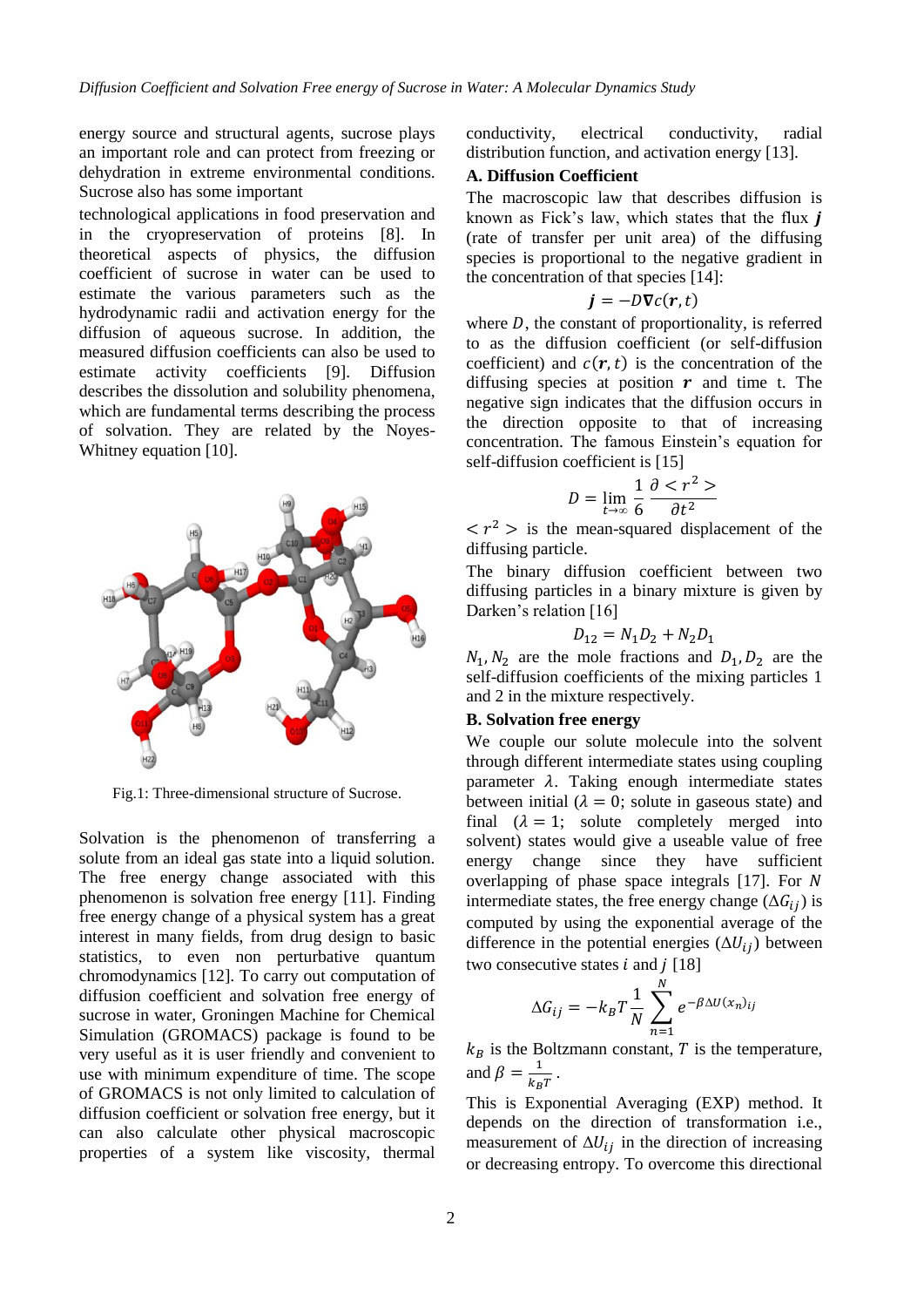issue, Bennett Acceptance Ratio concept was introduced, which considers both directions of entropy. The total free energy change between two states A and B with  $N$  intermediate states is [19]

$$
\Delta G_{AB} = \frac{1}{\beta} \frac{\sum_{i=1}^{N_1} \frac{1}{1 + e^{-\beta(\Delta U_i^1 - C)}}}{\sum_{j=1}^{N_0} \frac{1}{1 + e^{-\beta(\Delta U_j^0 - C)}}} + C - \frac{1}{\beta} \ln \left( \frac{N_1}{N_0} \right)
$$

$$
C = \Delta G_{AB} + \frac{1}{\beta} \ln \left( \frac{N_1}{N_0} \right)
$$

 $\Delta U_i^1$  and  $\Delta U_i^0$  are the potential energy differences for configurations sampled from states 1 and 0 respectively.

# **2. METHODOLOGY**

## **A. Modeling of the system**

The modeling of the system constitutes two things: the interactions among the molecules making up the system and the interactions between the molecules and their environment. The molecular interactions are contained in an intermolecular force law or, equivalently, an intermolecular potential energy function whereas the interaction of molecules with the environment includes the boundary conditions [20]. The expression for the potential energy  $U(r)$  of a molecular system is the linear contributions of bonded interactions coming from bond stretching  $U_{bond}$ , bond angle bending  $(U_{angle})$ , bond dihedral  $U_{dihedral}$ , bond improper  $U_{improper}$ , and nonbonded interactions coming from van der Waals potential (Lennard-Jones potential)  $U_{\nu dW}$ , and coulomb potential  $U_{coulomb}$ . Mathematically [21-23],

$$
U_{bond} = \sum_{bonds} \frac{K_d}{2} (d - d_0)^2
$$

 $K_d$  is the force constant of the bond,  $d_0$  is the equilibrium bond length between two atoms in

bond. It is the bond length when all other potential energy terms are zero e.g., harmonic oscillator in vacuum.

$$
U_{angle} = \sum_{angles} \frac{K_{\theta}}{2} (\theta - \theta_0)^2
$$

 $K_{\theta}$  is the force constant of angle vibration,  $\theta_0$  is an equilibrium angle between three atoms.

$$
U_{dihedral} = \sum_{dihedral} \frac{K_{\phi}}{2} (1 + \cos(n\phi - \phi_0))
$$

 $K_{\phi}$  is the barrier height, *n* is the number of minima in the energy function, which is also called as multiplicity and  $\phi_0$  is the phase factor.

$$
U_{improper} = \sum_{improper} \frac{K_{\psi}}{2} (\psi - \psi_0)^2
$$

 $K_{\psi}$  is force constant of bond improper and  $\psi_0$  is an equilibrium improper dihedral angle. This potential is introduced to preserve planarity of groups with flat geometry, and sometimes chirality of certain groups.



 $\sigma_{ij} = \frac{1}{2}$  $\frac{1}{2}(\sigma_{ii} + \sigma_{jj})$  is the collision diameter;  $\epsilon_{ij} = (\epsilon_{ii} \epsilon_{jj})$  is the potential well depth;  $r_{ij}$  is the cartesian distance between two atoms i and j;  $q_i$ and  $q_i$  are the partial charges of a pair of atoms  $(i,j)$ ; and  $\epsilon_D$  is the dielectric permittivity of the medium. The bonded and non-bonded parameters for SPC/E water are shown in tables 1 and 2 respectively. These are taken from the data provided by GROMACS software.

Table 1: Bonded parameters for the SPC/E water;  $(d_0)_{OH}$  is the equilibrium bond length between oxygen and hydrogen atoms (O-H),  $(K_d)_{OH}$  is the force constants for the O-H bond,  $\theta_0$  is the equilibrium HOH bond angle, and  $(K_{\theta})_{HOH}$  is the force constant of the bond angle vibration in water **molecules.**

| $(K_d)_{OH}$ 3.4500 × 10 <sup>5</sup> kJmol <sup>-1</sup> nm <sup>-2</sup>                 | $(d_0)_{OH}$ 0.1000 nm |
|--------------------------------------------------------------------------------------------|------------------------|
| $(K_{\theta})_{HOH}$ 3.8300 $\times$ 10 <sup>2</sup> kJmol <sup>-1</sup> rad <sup>-2</sup> | $109.47^0$             |

**Table 2: Non-bonded parameters for oxygen (O1) of sucrose and oxygen (OW) of SPC/E water.**

| $\sigma_{01-01}$ 0.2900 nm | $\epsilon_{01-01}$ | $0.59$ kJ/mol                  |
|----------------------------|--------------------|--------------------------------|
| $\sigma_{OW-OW}$ 0.3165 nm |                    | $\epsilon_{OW-OW}$ 0.65 kJ/mol |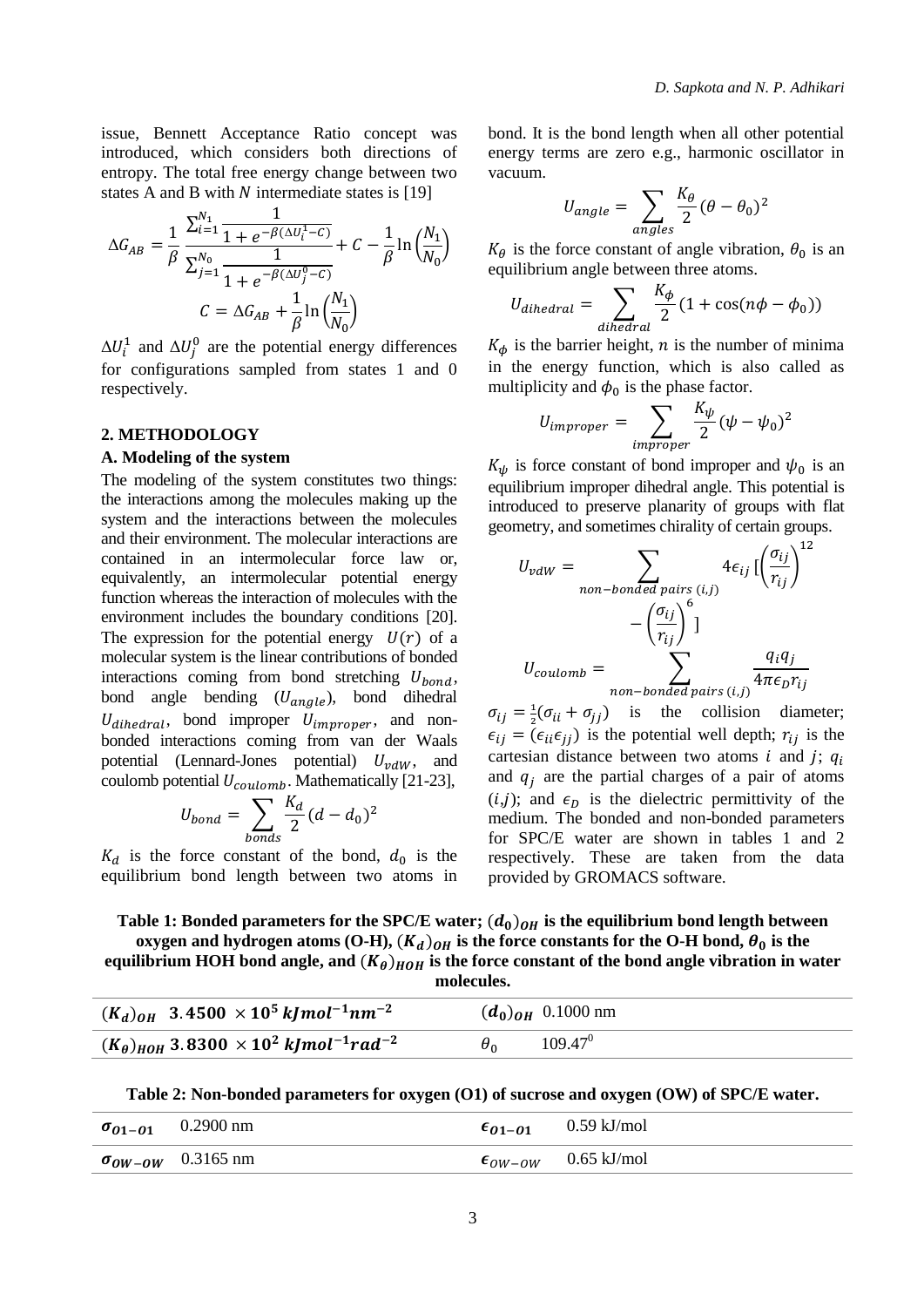#### **B. Simulation Procedure**

For both diffusion and free energy change processes, two molecules of sucrose are kept in a cubical box of size 3.5 nm length with 1343 molecules of SPC/E water. We are choosing SPC/E model over all other well-known models [24]. One of the reasons is that this model has a dipole moment of 2.35 D and a polarization correction to the total electrical energy of 5.52 kg/mol, which is better as compared to other models [25]. The sucrose molecules are separated by (0.5 nm, 0.5 nm, 0.5 nm) in space with reference to origin.

After mixing solute in solvent, the system needs to be energy minimized to avoid local strains which ap- pear due to the atomic overlapping. These strains produce unrealistically high forces among the atoms and our system will be in far-fromequilibrium state which causes our simulation to fail [26]. Steepest- descent algorithm is used for energy minimization, but the process stops as soon as the maximum force is less than some tolerance value and total potential energy is negative. The negative potential energy in calculations confirms that the system is energy minimized. However, to study solvation free energy change, energy minimization process is carried out twice keeping all other parameters and conditions same as that done for diffusion phenomenon. First with flexible bond to allow atoms to move away from each other in a controlled manner and second with constrained bond to make sure the new constrained positions are not experiencing large forces since overlapping causes large inter-atomic forces. The potential energy of the system after minimization is shown in Figure (2).

The system is brought in thermal and pressure equilibrium after energy minimization. The thermodynamic properties of the system vary with different parameters like temperature, pressure, density etc. Variations of these parameters would affect the accuracy of those thermodynamic properties to be calculated. Therefore, a system needs to be subjected to equilibration before production run [27]. The sucrose-water system is equilibrated at four different temperatures ranging from 298.15 K to 318.15 K and pressure of 1 bar with isothermal compressibility of  $4.6 \times 10^{-5}/bar$ . Velocity rescale thermostat for temperature coupling and Berendsen barostat for pressure coupling are used. The coupling time constants for thermostat and barostat are, respectively, 0.01 ps and 1.0 ps. The total equilibration run time is 100 ns. The

Particle Mesh Ewald (PME) algorithm is used for long range interaction. The cut-off parameter of 1 nm is taken with periodic boundary conditions for coulomb and Lennard-Jones (LJ) interaction. The equilibration process for solvation free energy of sucrose in water was performed at 300 K, keeping all other parameters same. The densities and simulated temperatures at different coupling temperatures are shown in table 3. After equilibration, production run is carried out to calculate the thermodynamical properties of the system such as diffusion coefficient and solvation free energy using NVT ensemble. The velocityrescale thermostat is used for this run. We couple the system to a fix pressure using Parinellorahman scheme in calculation of solvation free energy. The production run for diffusion is performed for 100 ns with the time step of 2 fs whereas for solvation free energy, the production run is completed in 100000 steps with 0.002 ps step size which takes 0.2 ns production run time. In solvation free energy production run, we use sd integrator instead of md to account for friction of solvent molecules and high velocity collisions that perturb the system. Moreover, some free energy parameters  $(\lambda s)$  are also added. Soft-core parameters like sc-power, sc-sigma, and sc-alpha are used to be sure that we never get overlapping particles. The production run is completed for each  $\lambda s$  and input files for each of them are generated by using shell-scripting code.



Fig. 2: Potential energy as a function of time after energy minimization.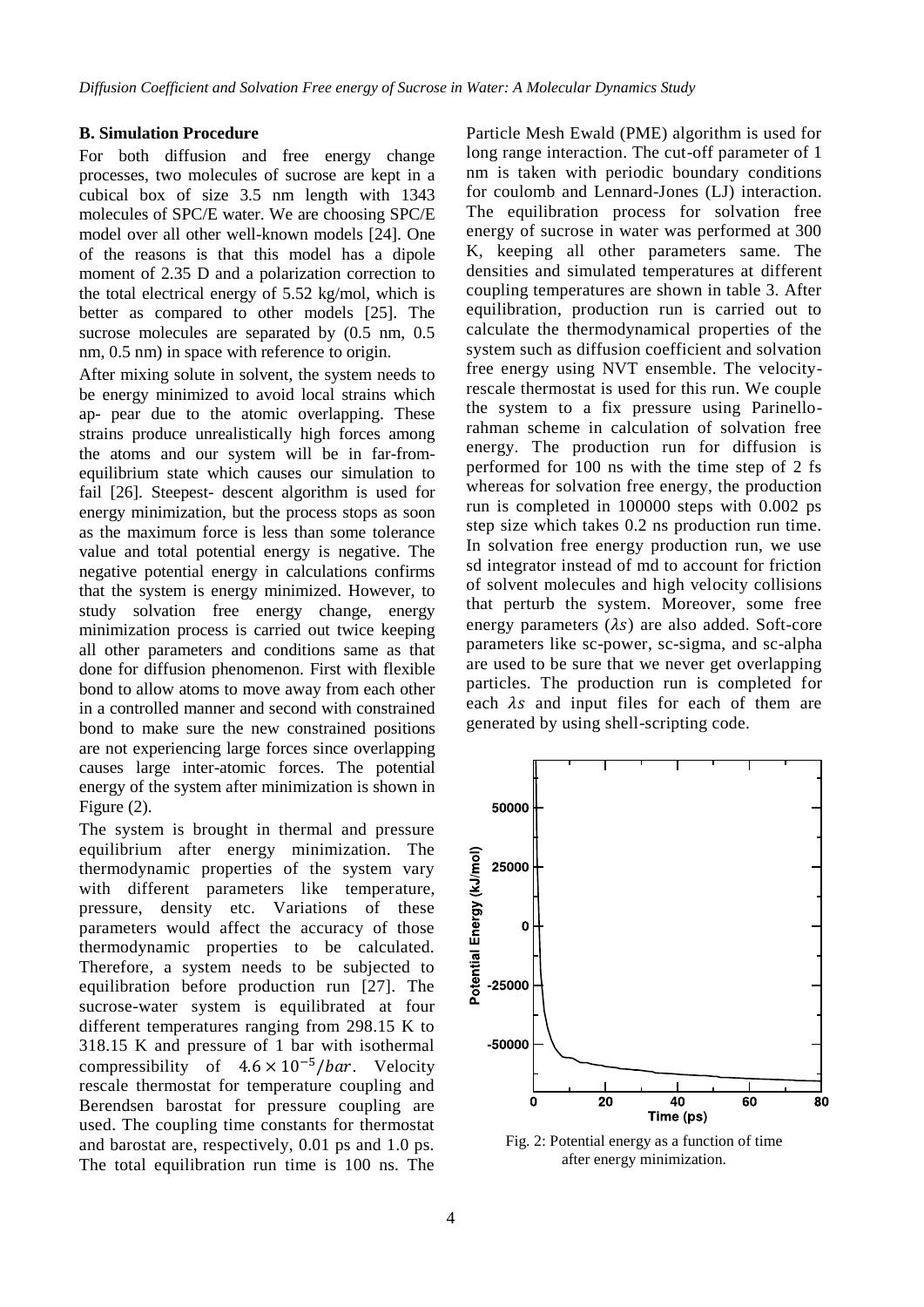| S.N. | $T_{SUC}$ (K) | $T_{sim}$ (K)       | $\rho_{system}$ (kg/m <sup>3</sup> ) | $\rho_{water}$ (kg/m <sup>3</sup> ) [28] |
|------|---------------|---------------------|--------------------------------------|------------------------------------------|
| 1.   | 298.150       | $298.142 + 0.006$   | 999.122±0.031                        | 997.05                                   |
| 2.   | 303.150       | $303.143 \pm 0.003$ | 996.413±0.023                        | 995.65                                   |
| 3.   | 308.150       | $308.141 \pm 0.010$ | 993.648±0.024                        | 994.03                                   |
|      | 318.150       | $318.135\pm0.003$   | 987.479±0.011                        | 992.59                                   |

Table 3: Values of simulated temperature  $(T_{sim})$  and density at various coupling temperatures  $(T_{SUC})$  for sucrose.

# **3. RESULTS AND DISCUSSION**

## **A. Radial Distribution Function (RDF)**

The radial distribution function gives the relative probability of finding a particle at a certain distance from a reference particle. From the reference



Fig. 3: RDF, g\_(C7-OW) at different temperatures ranging from 298.15 K to 318.15 K.





 $\overline{0.5}$ 

particle to first near-neighbor shell, there is no chance of penetration of atoms (up to the distance of diameter of atoms), so there is no radial distribution function, and this region is regarded as

exclusion region [29].

Fig. 4: RDF, g\_(OW-H1) at different temperatures ranging from 298.15 K to 318.15 K.

Fig. 5: RDF, g\_(OW-OW) at different temperatures ranging from 298.15 K to 318.15 K.

 $\frac{1}{r}$  (nm)

 $\overline{15}$ 

The RDFs of carbon (C7) and hydrogen (H1) atoms of sucrose molecules with reference to oxygen (OW) atoms of water are shown in figures (3) and (4) respectively. Similarly, the RDF of one of the oxygen atoms of water with reference to another oxygen atom of the same water is also plotted in figure (5). We can see the exclusion regions up to a certain distance, where the probability of finding the particle with respect to the reference particle is zero. As we go right side of each plot, the height of the peaks keeps on decreasing. This means that as the distance between the reference atom and the atom under study increases, the correlation between them decreases and eventually there won't be any long-range correlation for a large value of  $r$  i.e.,  $g(r) \to 1$  [30].

| Table 4: RDF, $g_{C7-OW}$ , analysis between carbon (C7) atom of sucrose molecule and oxygen atom |                         |  |  |
|---------------------------------------------------------------------------------------------------|-------------------------|--|--|
|                                                                                                   | (OW) of water molecule. |  |  |

| T(K)   | $ER$ (nm) | $FPP$ (nm) | FPV   | $SPP$ (nm) | <b>SPV</b> |
|--------|-----------|------------|-------|------------|------------|
| 298.15 | 0.282     | 0.372      | .239  | 0.754      | 1.001      |
| 303.15 | 0.280     | 0.372      | 1.234 | 0.756      | 0.995      |
| 308.15 | 0.282     | 0.372      | 1.231 | 0.756      | 0.992      |
| 318.15 | 0.278     | 0.372      | .220  | 0.758      | 0.991      |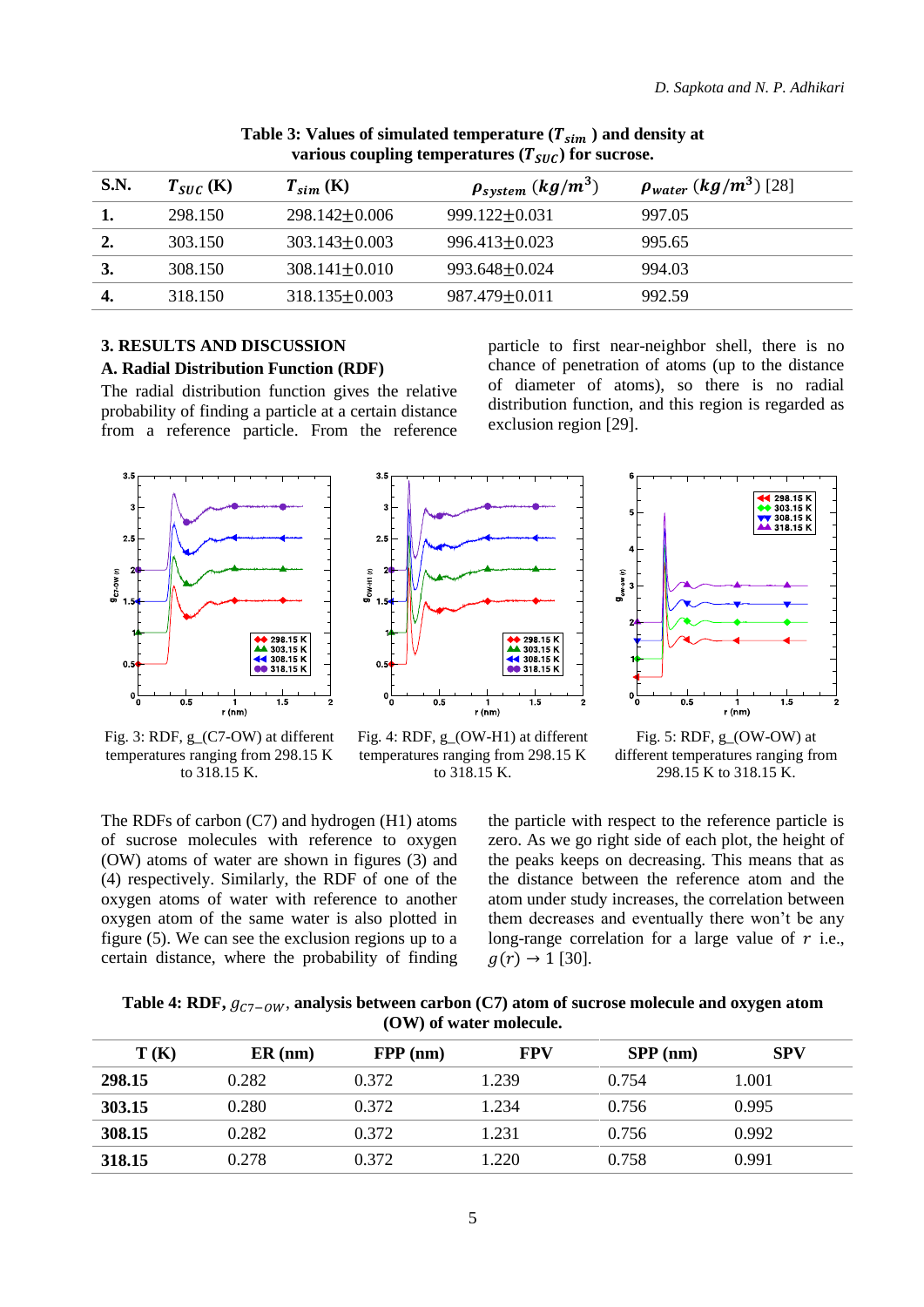| T(K)   | $ER$ (nm) | $FPP$ (nm) | <b>FPV</b> | $SPP$ (nm) | <b>SPV</b> |
|--------|-----------|------------|------------|------------|------------|
| 298.15 | 0.148     | 0.182      | 1.532      | 0.350      | 0.998      |
| 303.15 | 0.148     | 0.180      | 1.514      | 0.356      | 0.991      |
| 308.15 | 0.148     | 0.180      | 1.460      | 0.356      | 0.989      |
| 318.15 | 0.146     | 0.182      | 1.424      | 0.358      | 0.971      |

Table 5: RDF,  $g_{OW-H1}$ , analysis between hydrogen (H1) atom of sucrose molecule and oxygen atom **(OW) of water molecule.**

Table 6: RDF,  $g_{OW-OW}$ , analysis between oxygen atoms (OW-OW) of water molecules.

| T(K)   | $ER$ (nm) | $FPP$ (nm) | <b>FPV</b> | $SPP$ (nm) | <b>SPV</b> | $TPP$ (nm) | <b>TPV</b> |
|--------|-----------|------------|------------|------------|------------|------------|------------|
| 298.15 | 0.240     | 0.274      | 3.130      | 0.450      | 1.121      | 0.686      | 1.048      |
| 303.15 | 0.240     | 0.276      | 3.105      | 0.450      | 1.121      | 0.690      | 1.045      |
| 308.15 | 0.240     | 0.276      | 3.054      | 0.450      | 1.111      | 0.690      | 1.043      |
| 318.15 | 0.240     | 0.276      | 2.976      | 0.456      | 1.095      | 0.690      | 1.040      |

The heights and positions of the peaks for figures  $(3)$ ,  $(4)$ , and  $(5)$  are provided in tables  $(4)$ ,  $(5)$ , and (6) respectively, where ER= Exclusion region,  $FPP = First Peak Point, FPV = First Peak Value,$  $SPP = Second Peak Point, SPV = Second Peak$ Value,  $TPP = Third Peak Point, TPV = Third Peak$ Value. For H1, C7, and OW atoms, the exclusion regions extend up to 0.148 nm, 0.282 nm, and 0.240 nm respectively at all temperatures. In figures (3) and (4), the roughness in the curve is due to insufficient statistics caused by fewer number of C7 and H1 atoms of sucrose. Moreover, from tables (4-6), we can also see that as we increase the temperature, the height of the peak



Fig. 6: MSD vs time plot of water molecule at different temperatures.

decreases, which means that the atoms get more scattered and less structured as we increase the temperature.

# **B. Diffusion Coefficients**

The in-built GROMACS package *gmx msd* is used to calculate the self-diffusion coefficients. This package generates a data file of average meansquared displacement as a function of time. By performing a linear fit of this data, we can obtain the slope of the straight line. As required by Einstein's relation, dividing the slope by the factor 6, we get self-diffusion coefficient.



Fig. 7: MSD vs time plot of sucrose molecule at different temperatures.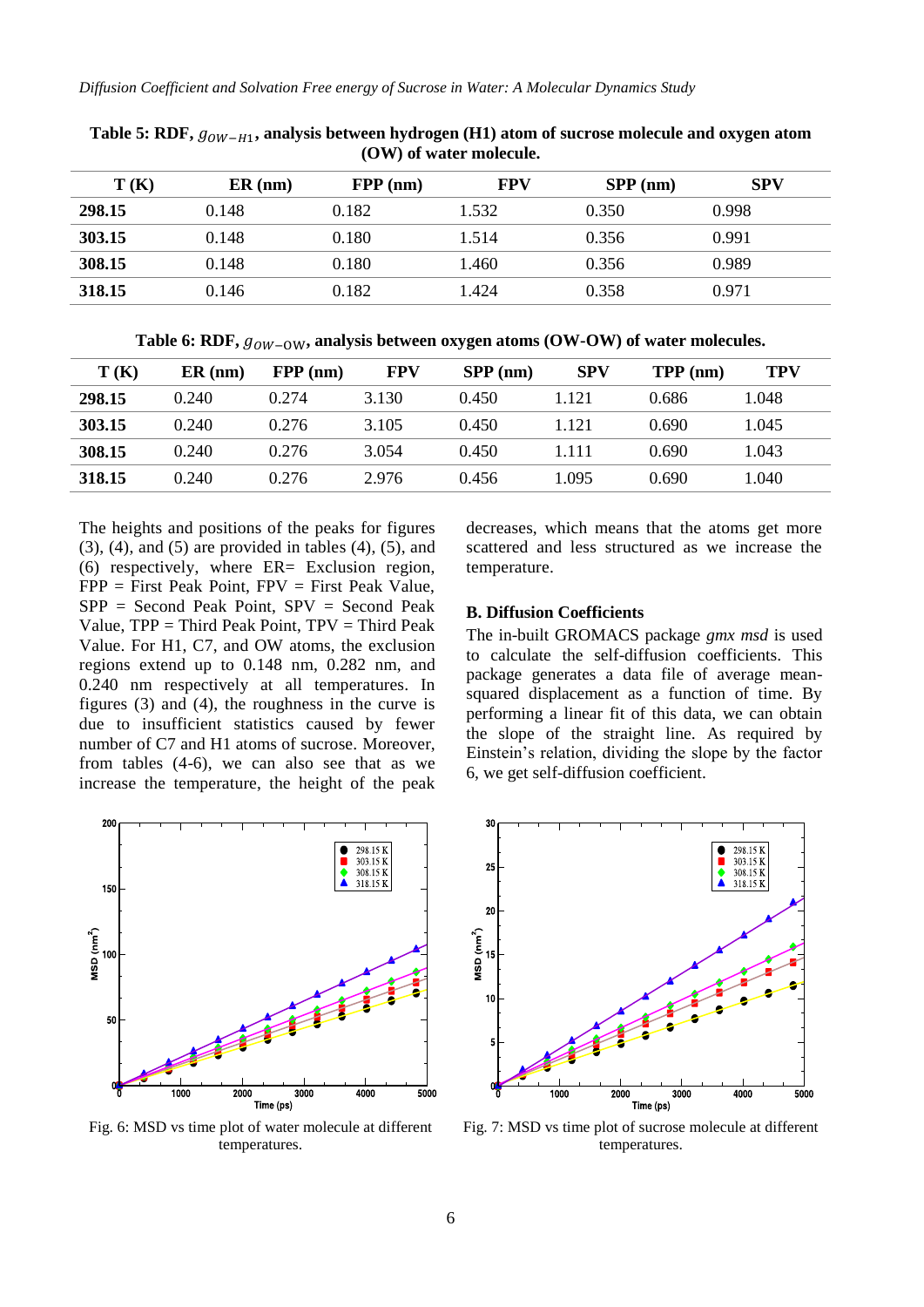The figures (6) and (7) show the MSD plots of sucrose and water molecules at temperatures ranging from 298.15 K to 318.15 K respectively. The corresponding simulated results of self-diffusion coefficients are shown in tables (7) and (8) respectively. It is observed that when temperature increases, the self-diffusion coefficient also increases. This is because, as the temperature increases, the generated velocities of the sucrose and water molecules also increase and the density of the system decreases. These provide more space for the molecules to execute random walk. Due to this, the mean-squared displacement increases. By Einstein's relation, as the mean-squared displacement increases, the self-diffusion coefficient also increases. Comparing the simulated results of selfdiffusion coefficients of water with the experimental values, the results are within 5.84% error.

**Table 7: Simulated values of self-diffusion coefficient of sucrose at different temperatures.**

| T(K)   | <b>Self-Diffusion Coefficient</b><br>$(\times 10^{-9} \, m^2 s^{-1})$ |
|--------|-----------------------------------------------------------------------|
| 298.15 | $0.390883 + 0.000013$                                                 |
| 303.15 | $0.484000 + 0.000067$                                                 |
| 308.15 | $0.538700 + 0.000015$                                                 |
| 318.15 | $0.716450 + 0.000024$                                                 |
|        |                                                                       |

**Table 8: Simulated and experimental values of self-diffusion coefficient of water at different temperatures.**

| T(K)   | Simulated $(x 10^{-9} m^2 s^{-1})$ | Experimental ( $\times$ 10 <sup>-9</sup> $m^2s^{-1}$ ) [31] | $%$ Error |
|--------|------------------------------------|-------------------------------------------------------------|-----------|
| 298.15 | $2.43833 \pm 0.00006$              | 2.30380                                                     | 5.84      |
| 303.15 | $2.71867 \pm 0.00003$              | 2.59960                                                     | 4.58      |
| 308.15 | $2.99217 \pm 0.00009$              | 2.91570                                                     | 2.62      |
| 318.15 | $3.58150 \pm 0.00003$              | 3.60700                                                     | 0.70      |

The binary diffusion coefficients are calculated by using Darken's relation. The mole fractions of sucrose and water are taken as  $1.49 \times 10^{-3}$  and 0.9985 respectively. Table (9) shows the simulated and experimental results of the binary diffusion coefficients of sucrose.

| Table 9: Simulated and experimental values of binary diffusion coefficient of |                                             |        |  |  |
|-------------------------------------------------------------------------------|---------------------------------------------|--------|--|--|
|                                                                               | sucrose in water at different temperatures. |        |  |  |
| Simulated $(x 10^{-9} m^2 s^{-1})$                                            | Experimental $(x 10^{-9} m^2 s^{-1})$ [9]   | $%$ Er |  |  |

| T(K)   | Simulated $(x 10^{-9} m^2 s^{-1})$ | Experimental $(\times 10^{-9} \, m^2 s^{-1})$ [9] | $\%$ Error |
|--------|------------------------------------|---------------------------------------------------|------------|
| 298.15 | $0.39400 + 0.00010$                | $0.50400 + 0.00400$                               | 21.83      |
| 303.15 | $0.48700 \pm 0.00011$              | $0.59400 \pm 0.01700$                             | 18.01      |
| 308.15 | $0.54200 \pm 0.00005$              | $0.69200 \pm 0.00700$                             | 21.67      |
| 318.15 | $0.72100 \pm 0.00009$              | $0.88800 + 0.01200$                               | 18.80      |
|        |                                    |                                                   |            |

## **C. Solvation Free Energy**

A bar graph of change in free energies for each successive values of  $\lambda$  is shown in figure (8). Each bar gives the change in free energy  $(\Delta G)$  between neighboring values of  $\lambda$ . For an example, for  $\lambda = 0.2$ , the change in free energy is the sum of free energy difference between  $\lambda = 0.0 \& 0.2$  and  $\lambda = 0.4$  & 0.2.



Fig. 8: Change in free energy for each successive value of  $\lambda$ .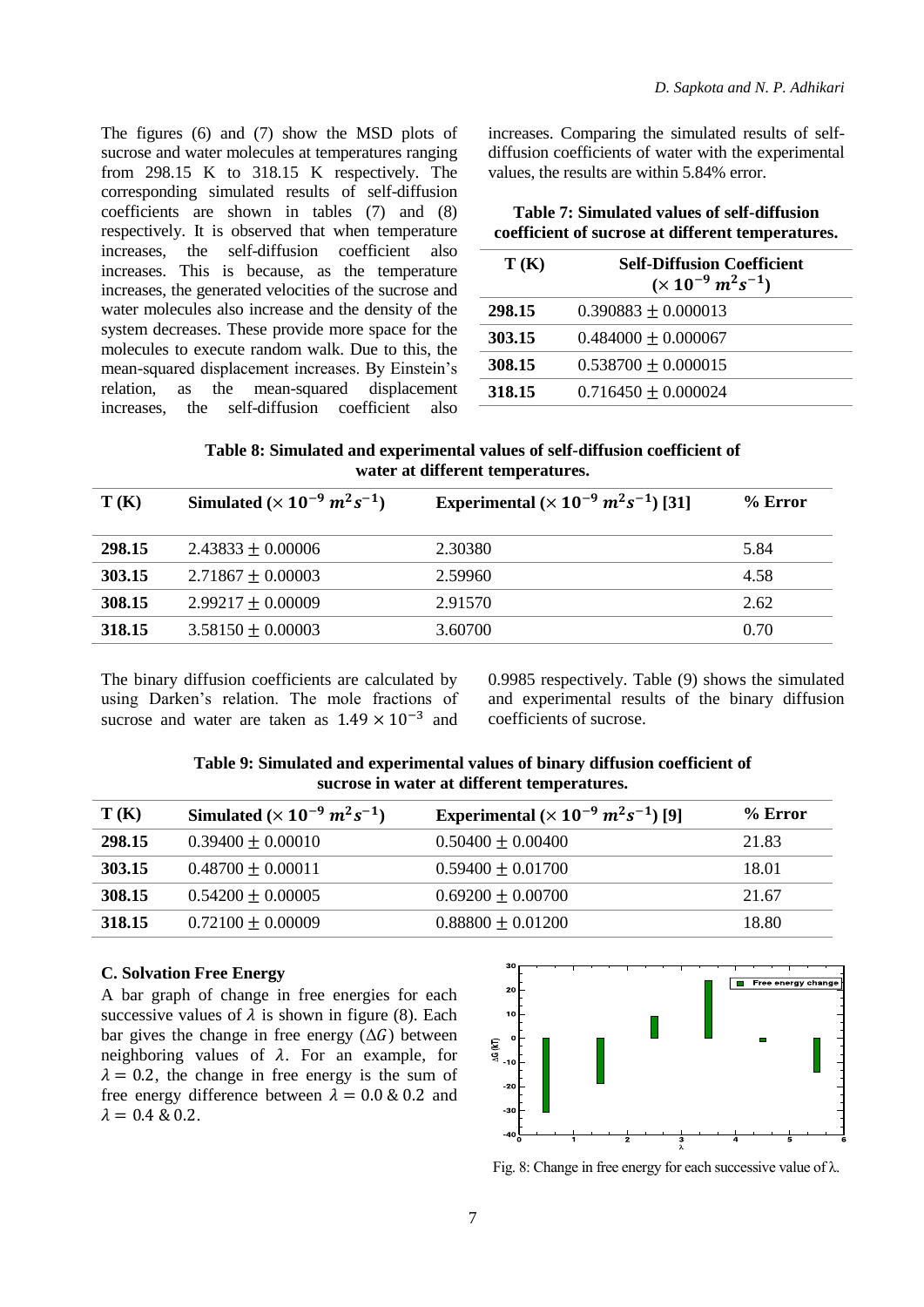Table (10) shows the values of free energy change between each value of  $\lambda$  and the total solvation free energy of the system is found to be  $-78.92 \pm 12.77$ kJ/mol.

**Table 10: Details of free energy change between**  each neighboring value of  $\lambda$  and total solvation **free energy of the system at 300 K.**

| S.N. | Point             | $\lambda$             | $\Delta G$         |
|------|-------------------|-----------------------|--------------------|
| 1.   | $0 \rightarrow 1$ | 0.0                   | $-76.66 \pm 0.26$  |
| 2.   | $1 \rightarrow 2$ | 0.2                   | $-46.55 \pm 0.32$  |
| 3.   | $2 \rightarrow 3$ | 0.4                   | $22.99 \pm 1.77$   |
| 4.   | $3 \rightarrow 4$ | 0.6                   | 59.91 $\pm$ 4.97   |
| 5.   | $4 \rightarrow 5$ | 0.8                   | $-3.32 \pm 1.11$   |
| 6.   | $5 \rightarrow 6$ | 0.9                   | $-35.29 \pm 4.34$  |
| 7.   | Total             | $0.0 \rightarrow 1.0$ | $-78.92 \pm 12.77$ |

#### **D. Temperature Dependence**

So far, it has been observed that the diffusion coefficient depends on temperature. This temperature dependency can be explained by Arrhenius equation [9]

$$
D = D_0 e^{-\frac{E_\alpha}{N_A k_B T}}
$$

 $D_0$  is pre-exponential factor, which is also called frequency factor,  $E_{\alpha}$  is activation energy for diffusion and  $N_A$  is Avogadro's number. This equation can further be written as,

$$
E_{\alpha} = -N_A k_B \frac{\partial \ln D}{\partial (1 \backslash T)}
$$

Taking the slope of  $\ln D$  vs  $1\$ T graph and multiplying with  $-N_A k_B$ , activation energy can be calculated. Figure (9) shows the Arrhenius plot for the binary diffusion coefficient of sucrose in water for both experimental and simulation results.



Fig. 9: Arrhenius diagram for the simulated and experimental values of binary mixture of sucrose and water.

If we extrapolate the graph to  $\frac{1}{T} \rightarrow 0$ , we can evaluate the pre-exponential factor  $D_0$ . The activation energy from the simulation was found to be 15.96 kJ/mol. This gives the amount of energy required to diffuse the sucrose in water.

## **4. CONCLUSION AND FUTURE PROSPECTS**

In this work, we have carried out a classical molecular dynamics simulation with 1343 molecules of SPC/E model water and 2 molecules of sucrose at 298.15 K, 303.15 K, 308.15 K, 318.15 K temperatures. The molar concentration of sucrose in water is 0.08  $mol/m<sup>3</sup>$  for all temperatures. The density and temperature fluctuations have been studied to know the equilibrated temperature and density of the system. Self-diffusion and binary diffusion coefficients have shown a good agreement with the previously reported experimental results. The effect of temperature on equilibrium structure of the system has been observed with the help of radial distribution function. It is observed that when we increase temperature, the system becomes more random. The relationship between diffusion coefficient and temperature has been clarified by using Arrhenius graph. The solvation free energy of sucrose at 300 K has been estimated by using free energy perturbation method. However, the error in its calculation is a bit high, which is due to the insufficient number of intermediate states. Thus, we conclude that molecular dynamics simulation is one of the best tools to study equilibrium structure, transport properties, solvation free energy and other properties of biomolecules with low computational cost. The results given by this technique are very close to the results obtained from experiment, so we can consider this as a reliable tool for a good researcher.

In future, we intend to extend this work in various ways. We aim to calculate diffusion coefficients by taking a constant temperature with varying concentration of the solute. We are looking forward to using different water models like TIP3P, TIP4P etc. or different organic solvents like ethanol. Further, we set a goal to calculate and compare the diffusion coefficients using velocity autocorrelation function (VACF) and Einstein's relation. Moreover, we plan to calculate solvation free energy of sucrose at various temperatures.

#### **REFERENCES**

[1] Nelson, D. L.; and Cox, M. M., *Lehinger Principles of Biochemistry,* p. 238, W.H. Freeman (2004).